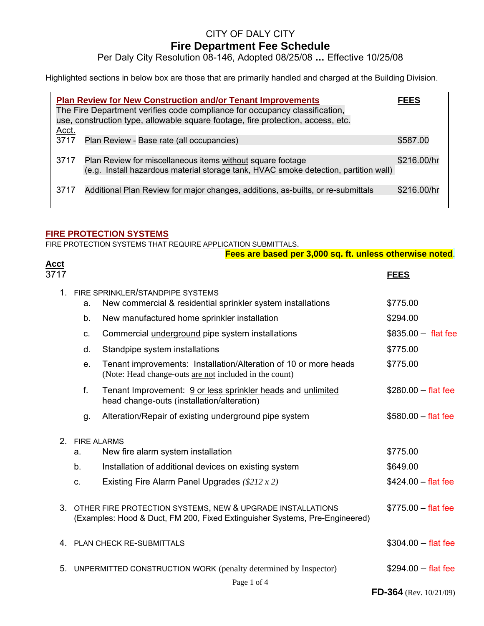# CITY OF DALY CITY

### **Fire Department Fee Schedule**

Per Daly City Resolution 08-146, Adopted 08/25/08 **…** Effective 10/25/08

Highlighted sections in below box are those that are primarily handled and charged at the Building Division.

| <b>Plan Review for New Construction and/or Tenant Improvements</b><br>The Fire Department verifies code compliance for occupancy classification,<br>use, construction type, allowable square footage, fire protection, access, etc. |                                                                                                                                                    |             |  |
|-------------------------------------------------------------------------------------------------------------------------------------------------------------------------------------------------------------------------------------|----------------------------------------------------------------------------------------------------------------------------------------------------|-------------|--|
| Acct.                                                                                                                                                                                                                               |                                                                                                                                                    |             |  |
| 3717                                                                                                                                                                                                                                | Plan Review - Base rate (all occupancies)                                                                                                          | \$587.00    |  |
| 3717                                                                                                                                                                                                                                | Plan Review for miscellaneous items without square footage<br>(e.g. Install hazardous material storage tank, HVAC smoke detection, partition wall) | \$216.00/hr |  |
| 3717                                                                                                                                                                                                                                | Additional Plan Review for major changes, additions, as-builts, or re-submittals                                                                   | \$216.00/hr |  |

#### **FIRE PROTECTION SYSTEMS**

FIRE PROTECTION SYSTEMS THAT REQUIRE APPLICATION SUBMITTALS.

|                     |                | Fees are based per 3,000 sq. ft. unless otherwise noted.                                                                                     |                           |
|---------------------|----------------|----------------------------------------------------------------------------------------------------------------------------------------------|---------------------------|
| <u>Acct</u><br>3717 |                |                                                                                                                                              | <b>FEES</b>               |
|                     | a.             | 1. FIRE SPRINKLER/STANDPIPE SYSTEMS<br>New commercial & residential sprinkler system installations                                           | \$775.00                  |
|                     | b.             | New manufactured home sprinkler installation                                                                                                 | \$294.00                  |
|                     | C.             | Commercial <i>underground</i> pipe system installations                                                                                      | $$835.00 - flat fee$      |
|                     | d.             | Standpipe system installations                                                                                                               | \$775.00                  |
|                     | e.             | Tenant improvements: Installation/Alteration of 10 or more heads<br>(Note: Head change-outs are not included in the count)                   | \$775.00                  |
|                     | f.             | Tenant Improvement: 9 or less sprinkler heads and unlimited<br>head change-outs (installation/alteration)                                    | $$280.00 - flat fee$      |
|                     | g.             | Alteration/Repair of existing underground pipe system                                                                                        | $$580.00 - flat fee$      |
|                     | 2. FIRE ALARMS |                                                                                                                                              |                           |
|                     | a.             | New fire alarm system installation                                                                                                           | \$775.00                  |
|                     | b.             | Installation of additional devices on existing system                                                                                        | \$649.00                  |
|                     | $C_{\cdot}$    | Existing Fire Alarm Panel Upgrades $(\$212 x 2)$                                                                                             | $$424.00 - flat fee$      |
|                     |                | 3. OTHER FIRE PROTECTION SYSTEMS, NEW & UPGRADE INSTALLATIONS<br>(Examples: Hood & Duct, FM 200, Fixed Extinguisher Systems, Pre-Engineered) | $$775.00 - flat fee$      |
|                     |                | 4. PLAN CHECK RE-SUBMITTALS                                                                                                                  | $$304.00 - flat fee$      |
|                     |                | 5. UNPERMITTED CONSTRUCTION WORK (penalty determined by Inspector)                                                                           | $$294.00 - flat fee$      |
|                     |                | Page 1 of 4                                                                                                                                  | FD-364 (Rev. $10/21/09$ ) |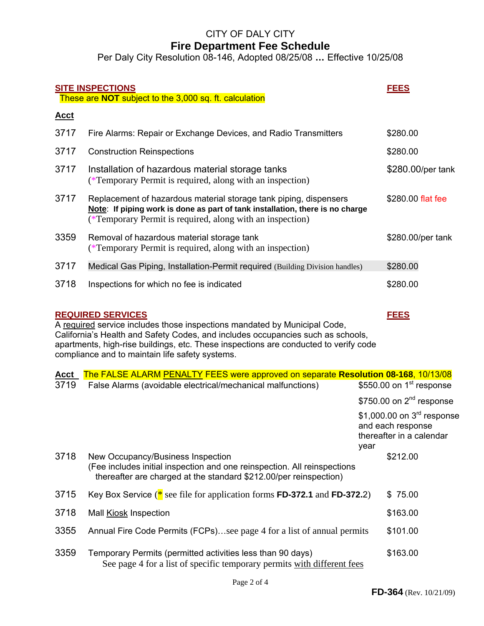# CITY OF DALY CITY

## **Fire Department Fee Schedule**

Per Daly City Resolution 08-146, Adopted 08/25/08 **…** Effective 10/25/08

| <b>SITE INSPECTIONS</b>                                                                                                                                                                                                                                                                                                                            |                                                                                                                                                                                                                 |      | <b>FEES</b>                                                                             |  |
|----------------------------------------------------------------------------------------------------------------------------------------------------------------------------------------------------------------------------------------------------------------------------------------------------------------------------------------------------|-----------------------------------------------------------------------------------------------------------------------------------------------------------------------------------------------------------------|------|-----------------------------------------------------------------------------------------|--|
|                                                                                                                                                                                                                                                                                                                                                    | These are NOT subject to the 3,000 sq. ft. calculation                                                                                                                                                          |      |                                                                                         |  |
| <u>Acct</u>                                                                                                                                                                                                                                                                                                                                        |                                                                                                                                                                                                                 |      |                                                                                         |  |
| 3717                                                                                                                                                                                                                                                                                                                                               | Fire Alarms: Repair or Exchange Devices, and Radio Transmitters                                                                                                                                                 |      | \$280.00                                                                                |  |
| 3717                                                                                                                                                                                                                                                                                                                                               | <b>Construction Reinspections</b>                                                                                                                                                                               |      | \$280.00                                                                                |  |
| 3717                                                                                                                                                                                                                                                                                                                                               | Installation of hazardous material storage tanks<br>(*Temporary Permit is required, along with an inspection)                                                                                                   |      | \$280.00/per tank                                                                       |  |
| 3717                                                                                                                                                                                                                                                                                                                                               | Replacement of hazardous material storage tank piping, dispensers<br>Note: If piping work is done as part of tank installation, there is no charge<br>(*Temporary Permit is required, along with an inspection) |      | \$280.00 flat fee                                                                       |  |
| 3359                                                                                                                                                                                                                                                                                                                                               | Removal of hazardous material storage tank<br>(*Temporary Permit is required, along with an inspection)                                                                                                         |      | \$280.00/per tank                                                                       |  |
| 3717                                                                                                                                                                                                                                                                                                                                               | Medical Gas Piping, Installation-Permit required (Building Division handles)                                                                                                                                    |      | \$280.00                                                                                |  |
| 3718                                                                                                                                                                                                                                                                                                                                               | Inspections for which no fee is indicated                                                                                                                                                                       |      | \$280.00                                                                                |  |
| <b>REQUIRED SERVICES</b><br><b>FEES</b><br>A required service includes those inspections mandated by Municipal Code,<br>California's Health and Safety Codes, and includes occupancies such as schools,<br>apartments, high-rise buildings, etc. These inspections are conducted to verify code<br>compliance and to maintain life safety systems. |                                                                                                                                                                                                                 |      |                                                                                         |  |
| <u>Acct</u>                                                                                                                                                                                                                                                                                                                                        | The FALSE ALARM PENALTY FEES were approved on separate Resolution 08-168, 10/13/08                                                                                                                              |      |                                                                                         |  |
| 3719                                                                                                                                                                                                                                                                                                                                               | False Alarms (avoidable electrical/mechanical malfunctions)                                                                                                                                                     |      | \$550.00 on $1st$ response                                                              |  |
|                                                                                                                                                                                                                                                                                                                                                    |                                                                                                                                                                                                                 |      | \$750.00 on $2nd$ response                                                              |  |
|                                                                                                                                                                                                                                                                                                                                                    |                                                                                                                                                                                                                 | year | \$1,000.00 on $3^{\text{rd}}$ response<br>and each response<br>thereafter in a calendar |  |
| 3718                                                                                                                                                                                                                                                                                                                                               | New Occupancy/Business Inspection<br>(Fee includes initial inspection and one reinspection. All reinspections<br>thereafter are charged at the standard \$212.00/per reinspection)                              |      | \$212.00                                                                                |  |
| 3715                                                                                                                                                                                                                                                                                                                                               | Key Box Service ( $*$ see file for application forms FD-372.1 and FD-372.2)                                                                                                                                     |      | \$75.00                                                                                 |  |
| 3718                                                                                                                                                                                                                                                                                                                                               | Mall <b>Kiosk</b> Inspection                                                                                                                                                                                    |      | \$163.00                                                                                |  |
| 3355                                                                                                                                                                                                                                                                                                                                               | Annual Fire Code Permits (FCPs)see page 4 for a list of annual permits                                                                                                                                          |      | \$101.00                                                                                |  |
| 3359                                                                                                                                                                                                                                                                                                                                               | Temporary Permits (permitted activities less than 90 days)<br>See page 4 for a list of specific temporary permits with different fees                                                                           |      | \$163.00                                                                                |  |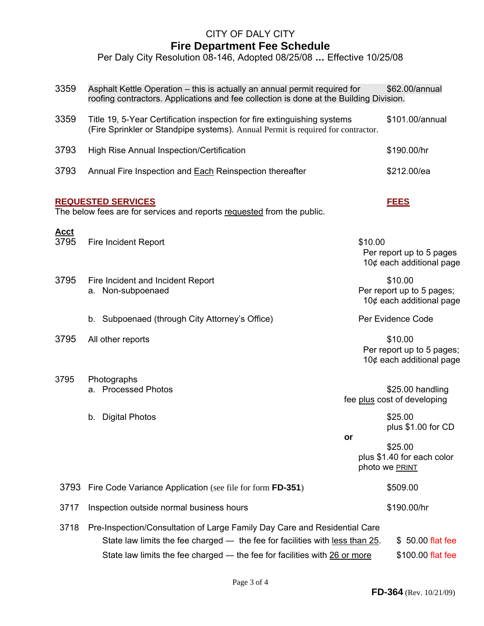## CITY OF DALY CITY **Fire Department Fee Schedule**

Per Daly City Resolution 08-146, Adopted 08/25/08 **…** Effective 10/25/08

| 3359                | Asphalt Kettle Operation – this is actually an annual permit required for<br>\$62.00/annual<br>roofing contractors. Applications and fee collection is done at the Building Division.                                                  |         |                                                                     |  |
|---------------------|----------------------------------------------------------------------------------------------------------------------------------------------------------------------------------------------------------------------------------------|---------|---------------------------------------------------------------------|--|
| 3359                | Title 19, 5-Year Certification inspection for fire extinguishing systems<br>(Fire Sprinkler or Standpipe systems). Annual Permit is required for contractor.                                                                           |         | \$101.00/annual                                                     |  |
| 3793                | High Rise Annual Inspection/Certification                                                                                                                                                                                              |         | \$190.00/hr                                                         |  |
| 3793                | Annual Fire Inspection and <b>Each Reinspection thereafter</b>                                                                                                                                                                         |         | \$212.00/ea                                                         |  |
|                     | <b>REQUESTED SERVICES</b><br>The below fees are for services and reports requested from the public.                                                                                                                                    |         | <b>FEES</b>                                                         |  |
|                     |                                                                                                                                                                                                                                        |         |                                                                     |  |
| <u>Acct</u><br>3795 | <b>Fire Incident Report</b>                                                                                                                                                                                                            | \$10.00 | Per report up to 5 pages<br>10 $¢$ each additional page             |  |
| 3795                | Fire Incident and Incident Report<br>a. Non-subpoenaed                                                                                                                                                                                 |         | \$10.00<br>Per report up to 5 pages;<br>10¢ each additional page    |  |
|                     | Subpoenaed (through City Attorney's Office)<br>b.                                                                                                                                                                                      |         | Per Evidence Code                                                   |  |
| 3795                | All other reports                                                                                                                                                                                                                      |         | \$10.00<br>Per report up to 5 pages;<br>10 $¢$ each additional page |  |
| 3795                | Photographs                                                                                                                                                                                                                            |         |                                                                     |  |
|                     | a. Processed Photos                                                                                                                                                                                                                    |         | \$25.00 handling<br>fee plus cost of developing                     |  |
|                     | <b>Digital Photos</b><br>b.                                                                                                                                                                                                            | or      | \$25.00<br>plus \$1.00 for CD                                       |  |
|                     |                                                                                                                                                                                                                                        |         | \$25.00<br>plus \$1.40 for each color<br>photo we PRINT             |  |
| 3793                | Fire Code Variance Application (see file for form FD-351)                                                                                                                                                                              |         | \$509.00                                                            |  |
| 3717                | Inspection outside normal business hours                                                                                                                                                                                               |         | \$190.00/hr                                                         |  |
| 3718                | Pre-Inspection/Consultation of Large Family Day Care and Residential Care<br>State law limits the fee charged — the fee for facilities with less than 25.<br>State law limits the fee charged - the fee for facilities with 26 or more |         | \$ 50.00 flat fee<br>\$100.00 flat fee                              |  |